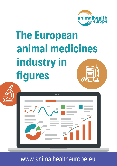

# **The European animal medicines industry in fi gures**

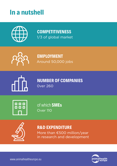### **In a nutshell**



**COMPETITIVENESS** 1/3 of global market



**EMPLOYMENT** Around 50,000 jobs



**NUMBER OF COMPANIES** 0ver 260



of which **SMEs** Over 110



#### **R&D EXPENDITURE**

More than €500 million/year in research and development

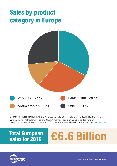### **Sales by product category in Europe**



Countries covered include AT, BE, CH, CZ, DE, DK, ES, ER, UK, GR, HU, IE, IT, NL, PL, PT, SK. Source: 10 AnimalhealthEurope and CEESA member companies. 20% added for nonparticipating companies. CEESA stands for Executive Animal Health Study Centre www.ceesa.eu

## **Total European**



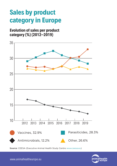### **Sales by product category in Europe**

**Evolution of sales per product category (%) (2012–2019)**



Source: CEESA (Executive Animal Health Study Centre www.ceesa.eu)

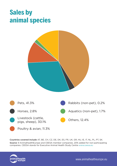### **Sales by animal species**



Countries covered include AT, BE, CH, CZ, DE, DK, ES, FR, UK, GR, HU, IE, IT, NL, PL, PT, SK. Source: 9 AnimalhealthEurope and CEESA member companies. 20% added for non-participating companies. CEESA stands for Executive Animal Health Study Centre www.ceesa.eu

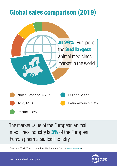### **Global sales comparison (2019)**



The market value of the European animal medicines industry is **3%** of the European human pharmaceutical industry

Source: CEESA (Executive Animal Health Study Centre www.ceesa.eu)

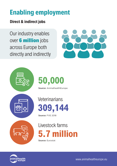### **Enabling employment**

#### **Direct & indirect jobs**

Our industry enables over 6 million jobs across Europe both directly and indirectly







Source: AnimalhealthEurope



Source: FVE 2018



Source: Eurostat

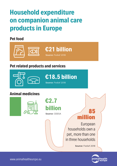### **Household expenditure on companion animal care products in Europe**

#### **Pet food**



#### **Pet related products and services**



European households own a pet, more than one in three households

Source: Fediaf 2018

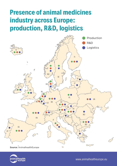### **Presence of animal medicines industry across Europe: production, R&D, logistics**



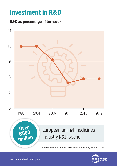### **Investment in R&D**

#### **R&D as percentage of turnover**



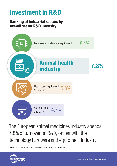### **Investment in R&D**

#### **Ranking of industrial sectors by overall sector R&D intensity**



The European animal medicines industry spends 7.8% of turnover on R&D, on par with the technology hardware and equipment industry

Source: 2019 EU Industrial R&D Investment Scoreboard

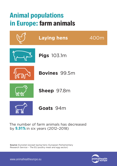### **Animal populations in Europe: farm animals**



The number of farm animals has decreased by **9.91%** in six years (2012–2018)

Source: Eurostat (except laying hens: European Parliamentary Research Service – The EU poultry meat and egg sector)

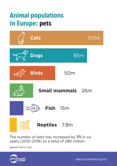### **Animal populations in Europe: pets**



The number of pets has increased by **9%** in six years (2012–2018) to a total of 289 million

Source: FEDIAF 2018

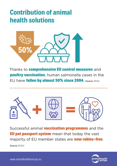### **Contribution of animal health solutions**



Thanks to **comprehensive EU control measures** and **poultry vaccination**, human salmonella cases in the EU have fallen by almost 50% since 2004. Source: EFSA



Successful animal **vaccination programmes** and the **EU pet passport system** mean that today the vast majority of EU member states are **now rabies-free**. Source: ECDC

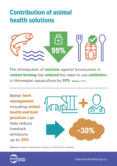### **Contribution of animal health solutions**



The introduction of **vaccines** against furunculosis in salmon farming has reduced the need to use antibiotics In Norwegian aquaculture by 99%. Source: WHO

Better herd management, including animal health and feed **practices** can help reduce livestock emissions up to 30%.



Source: European Commission Study on Future of EU livestock